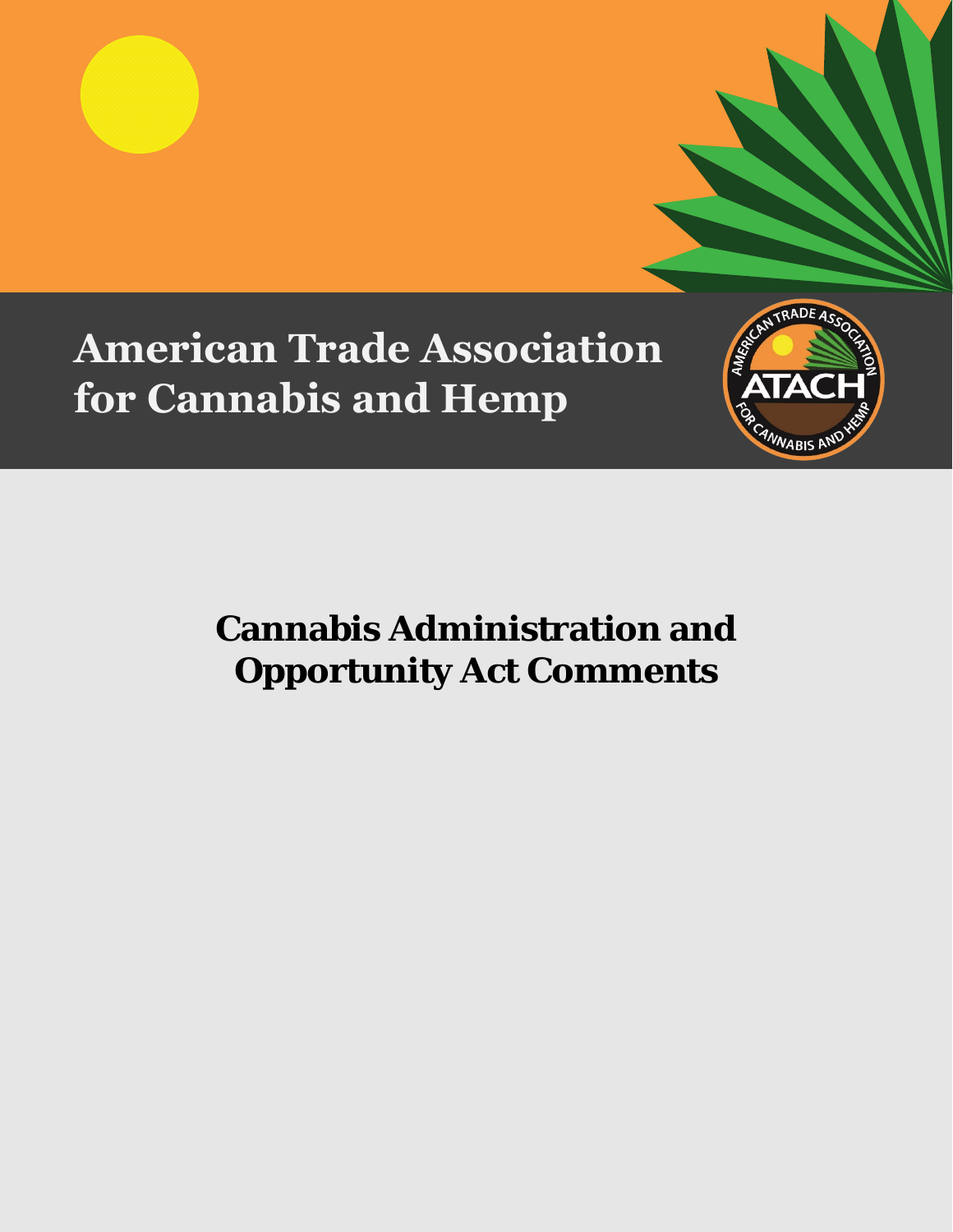# **American Trade Association for Cannabis and Hemp**



## **Cannabis Administration and Opportunity Act Comments**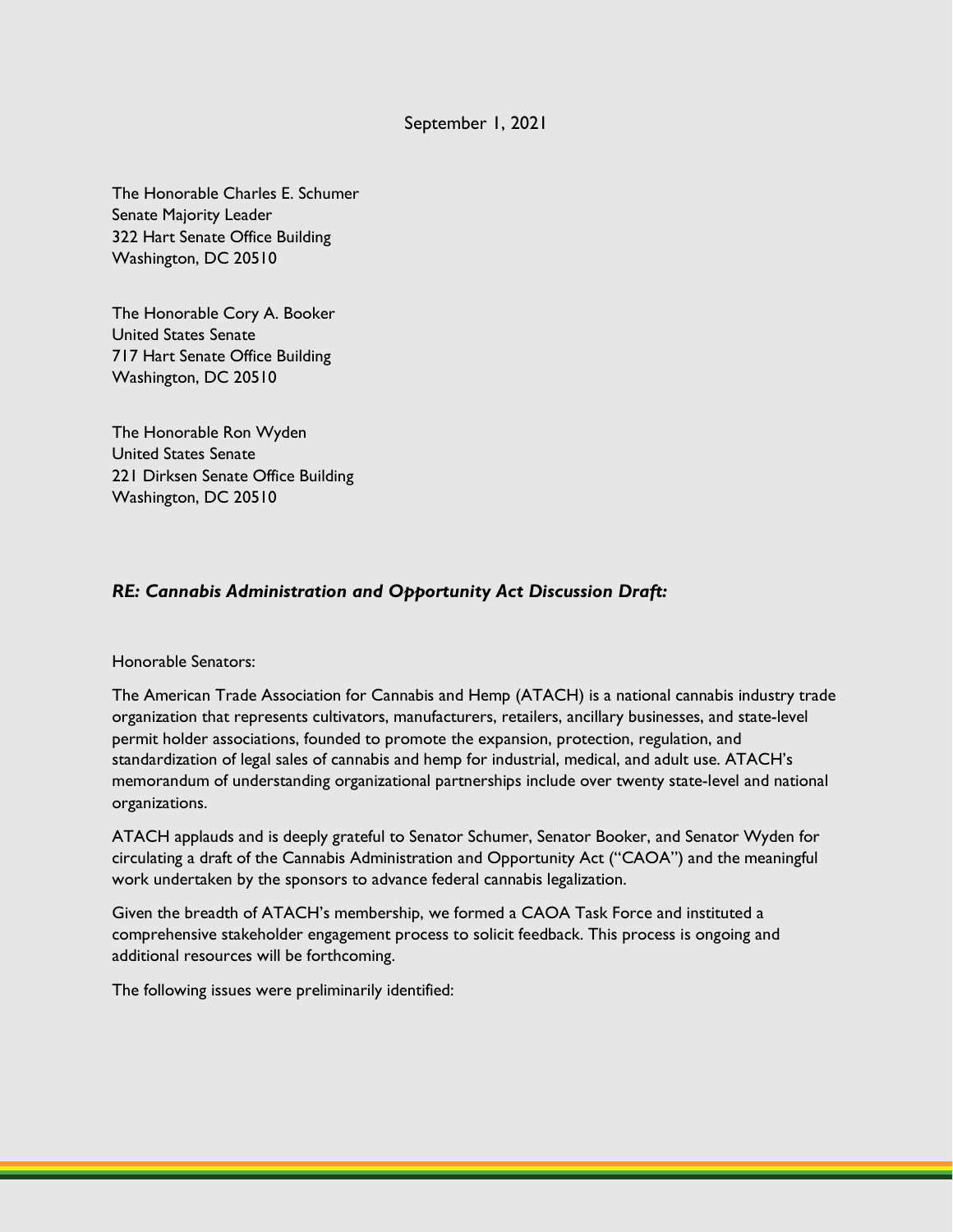## September 1, 2021

The Honorable Charles E. Schumer Senate Majority Leader 322 Hart Senate Office Building Washington, DC 20510

The Honorable Cory A. Booker United States Senate 717 Hart Senate Office Building Washington, DC 20510

The Honorable Ron Wyden United States Senate 221 Dirksen Senate Office Building Washington, DC 20510

## *RE: Cannabis Administration and Opportunity Act Discussion Draft:*

### Honorable Senators:

The American Trade Association for Cannabis and Hemp (ATACH) is a national cannabis industry trade organization that represents cultivators, manufacturers, retailers, ancillary businesses, and state-level permit holder associations, founded to promote the expansion, protection, regulation, and standardization of legal sales of cannabis and hemp for industrial, medical, and adult use. ATACH's memorandum of understanding organizational partnerships include over twenty state-level and national organizations.

ATACH applauds and is deeply grateful to Senator Schumer, Senator Booker, and Senator Wyden for circulating a draft of the Cannabis Administration and Opportunity Act ("CAOA") and the meaningful work undertaken by the sponsors to advance federal cannabis legalization.

Given the breadth of ATACH's membership, we formed a CAOA Task Force and instituted a comprehensive stakeholder engagement process to solicit feedback. This process is ongoing and additional resources will be forthcoming.

The following issues were preliminarily identified: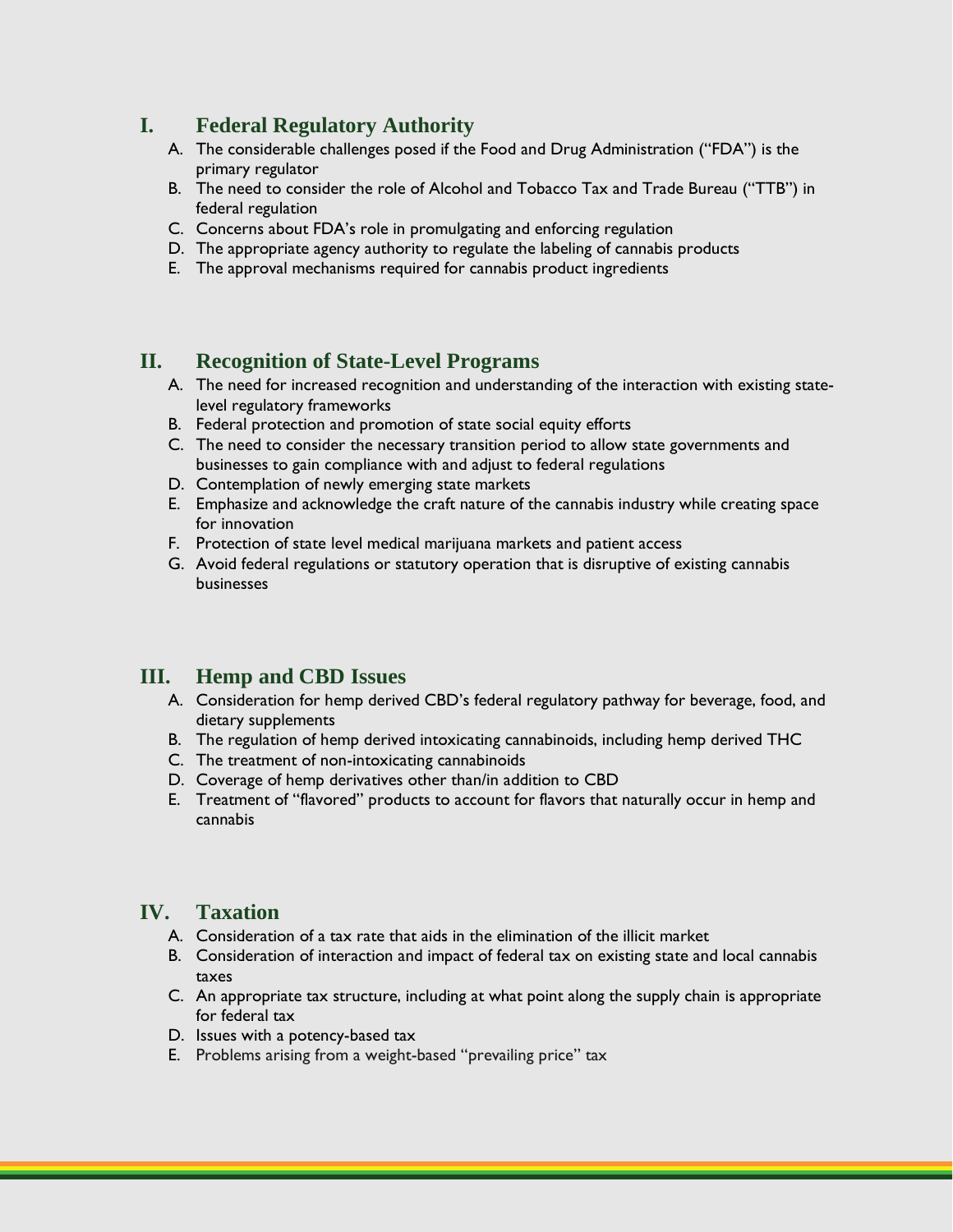## **I. Federal Regulatory Authority**

- A. The considerable challenges posed if the Food and Drug Administration ("FDA") is the primary regulator
- B. The need to consider the role of Alcohol and Tobacco Tax and Trade Bureau ("TTB") in federal regulation
- C. Concerns about FDA's role in promulgating and enforcing regulation
- D. The appropriate agency authority to regulate the labeling of cannabis products
- E. The approval mechanisms required for cannabis product ingredients

## **II. Recognition of State-Level Programs**

- A. The need for increased recognition and understanding of the interaction with existing statelevel regulatory frameworks
- B. Federal protection and promotion of state social equity efforts
- C. The need to consider the necessary transition period to allow state governments and businesses to gain compliance with and adjust to federal regulations
- D. Contemplation of newly emerging state markets
- E. Emphasize and acknowledge the craft nature of the cannabis industry while creating space for innovation
- F. Protection of state level medical marijuana markets and patient access
- G. Avoid federal regulations or statutory operation that is disruptive of existing cannabis businesses

## **III. Hemp and CBD Issues**

- A. Consideration for hemp derived CBD's federal regulatory pathway for beverage, food, and dietary supplements
- B. The regulation of hemp derived intoxicating cannabinoids, including hemp derived THC
- C. The treatment of non-intoxicating cannabinoids
- D. Coverage of hemp derivatives other than/in addition to CBD
- E. Treatment of "flavored" products to account for flavors that naturally occur in hemp and cannabis

## **IV. Taxation**

- A. Consideration of a tax rate that aids in the elimination of the illicit market
- B. Consideration of interaction and impact of federal tax on existing state and local cannabis taxes
- C. An appropriate tax structure, including at what point along the supply chain is appropriate for federal tax
- D. Issues with a potency-based tax
- E. Problems arising from a weight-based "prevailing price" tax